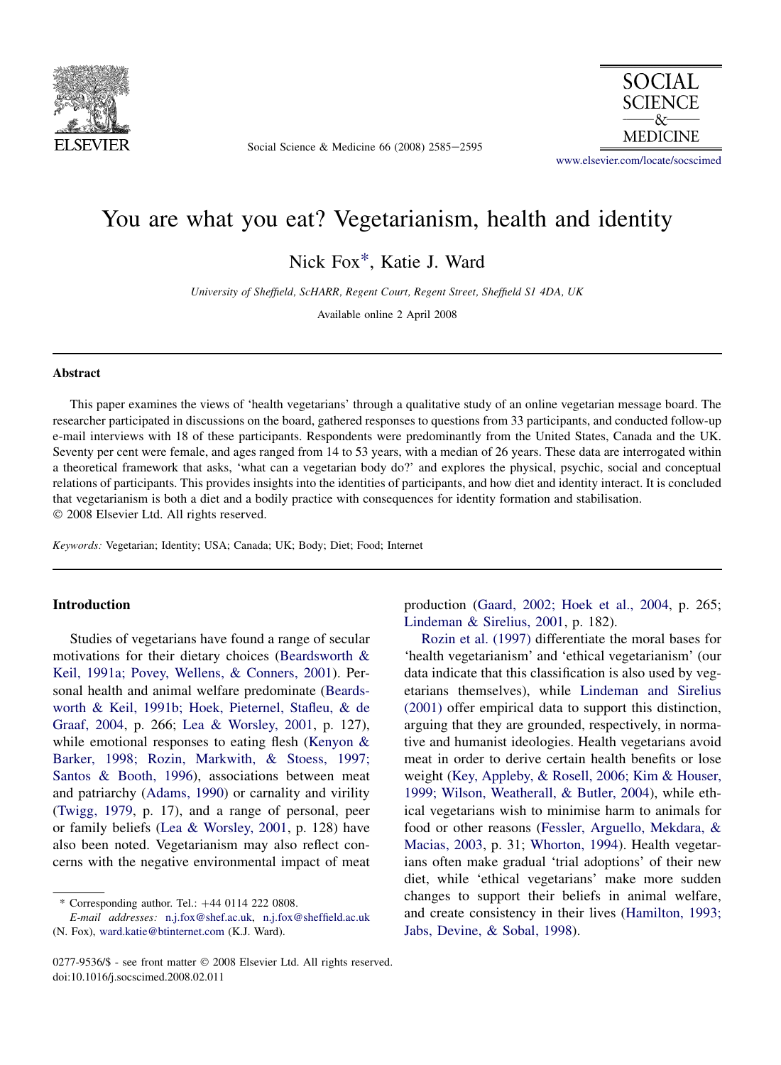

Social Science & Medicine 66 (2008)  $2585-2595$ 



[www.elsevier.com/locate/socscimed](http://www.elsevier.com/locate/socscimed)

# You are what you eat? Vegetarianism, health and identity

Nick Fox\*, Katie J. Ward

University of Sheffield, ScHARR, Regent Court, Regent Street, Sheffield S1 4DA, UK

Available online 2 April 2008

#### Abstract

This paper examines the views of 'health vegetarians' through a qualitative study of an online vegetarian message board. The researcher participated in discussions on the board, gathered responses to questions from 33 participants, and conducted follow-up e-mail interviews with 18 of these participants. Respondents were predominantly from the United States, Canada and the UK. Seventy per cent were female, and ages ranged from 14 to 53 years, with a median of 26 years. These data are interrogated within a theoretical framework that asks, 'what can a vegetarian body do?' and explores the physical, psychic, social and conceptual relations of participants. This provides insights into the identities of participants, and how diet and identity interact. It is concluded that vegetarianism is both a diet and a bodily practice with consequences for identity formation and stabilisation. © 2008 Elsevier Ltd. All rights reserved.

Keywords: Vegetarian; Identity; USA; Canada; UK; Body; Diet; Food; Internet

#### Introduction

Studies of vegetarians have found a range of secular motivations for their dietary choices [\(Beardsworth &](#page-9-0) [Keil, 1991a; Povey, Wellens, & Conners, 2001\)](#page-9-0). Personal health and animal welfare predominate ([Beards](#page-9-0)[worth & Keil, 1991b; Hoek, Pieternel, Stafleu, & de](#page-9-0) [Graaf, 2004](#page-9-0), p. 266; [Lea & Worsley, 2001](#page-9-0), p. 127), while emotional responses to eating flesh [\(Kenyon &](#page-9-0) [Barker, 1998; Rozin, Markwith, & Stoess, 1997;](#page-9-0) [Santos & Booth, 1996\)](#page-9-0), associations between meat and patriarchy ([Adams, 1990](#page-9-0)) or carnality and virility [\(Twigg, 1979,](#page-10-0) p. 17), and a range of personal, peer or family beliefs ([Lea & Worsley, 2001](#page-9-0), p. 128) have also been noted. Vegetarianism may also reflect concerns with the negative environmental impact of meat

[Rozin et al. \(1997\)](#page-10-0) differentiate the moral bases for 'health vegetarianism' and 'ethical vegetarianism' (our data indicate that this classification is also used by vegetarians themselves), while [Lindeman and Sirelius](#page-9-0) [\(2001\)](#page-9-0) offer empirical data to support this distinction, arguing that they are grounded, respectively, in normative and humanist ideologies. Health vegetarians avoid meat in order to derive certain health benefits or lose weight [\(Key, Appleby, & Rosell, 2006; Kim & Houser,](#page-9-0) [1999; Wilson, Weatherall, & Butler, 2004\)](#page-9-0), while ethical vegetarians wish to minimise harm to animals for food or other reasons ([Fessler, Arguello, Mekdara, &](#page-9-0) [Macias, 2003,](#page-9-0) p. 31; [Whorton, 1994](#page-10-0)). Health vegetarians often make gradual 'trial adoptions' of their new diet, while 'ethical vegetarians' make more sudden changes to support their beliefs in animal welfare, and create consistency in their lives [\(Hamilton, 1993;](#page-9-0) [Jabs, Devine, & Sobal, 1998](#page-9-0)).

 $*$  Corresponding author. Tel.:  $+44$  0114 222 0808.

E-mail addresses: [n.j.fox@shef.ac.uk,](mailto:n.j.fox@shef.ac.uk,) [n.j.fox@sheffield.ac.uk](mailto:n.j.fox@sheffield.ac.uk) (N. Fox), [ward.katie@btinternet.com](mailto:ward.katie@btinternet.com) (K.J. Ward).

production [\(Gaard, 2002; Hoek et al., 2004](#page-9-0), p. 265; [Lindeman & Sirelius, 2001](#page-9-0), p. 182).

<sup>0277-9536/\$ -</sup> see front matter © 2008 Elsevier Ltd. All rights reserved. doi:10.1016/j.socscimed.2008.02.011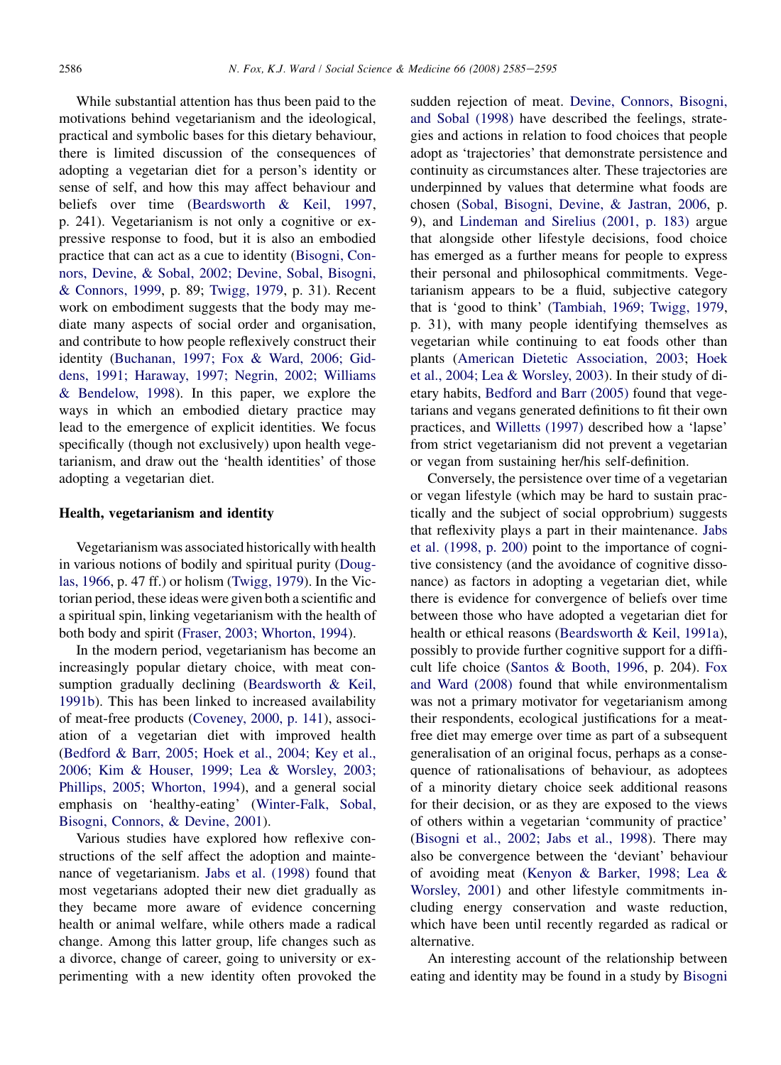While substantial attention has thus been paid to the motivations behind vegetarianism and the ideological, practical and symbolic bases for this dietary behaviour, there is limited discussion of the consequences of adopting a vegetarian diet for a person's identity or sense of self, and how this may affect behaviour and beliefs over time [\(Beardsworth & Keil, 1997,](#page-9-0) p. 241). Vegetarianism is not only a cognitive or expressive response to food, but it is also an embodied practice that can act as a cue to identity [\(Bisogni, Con](#page-9-0)[nors, Devine, & Sobal, 2002; Devine, Sobal, Bisogni,](#page-9-0) [& Connors, 1999](#page-9-0), p. 89; [Twigg, 1979,](#page-10-0) p. 31). Recent work on embodiment suggests that the body may mediate many aspects of social order and organisation, and contribute to how people reflexively construct their identity ([Buchanan, 1997; Fox & Ward, 2006; Gid](#page-9-0)[dens, 1991; Haraway, 1997; Negrin, 2002; Williams](#page-9-0) [& Bendelow, 1998](#page-9-0)). In this paper, we explore the ways in which an embodied dietary practice may lead to the emergence of explicit identities. We focus specifically (though not exclusively) upon health vegetarianism, and draw out the 'health identities' of those adopting a vegetarian diet.

#### Health, vegetarianism and identity

Vegetarianism was associated historically with health in various notions of bodily and spiritual purity ([Doug](#page-9-0)[las, 1966,](#page-9-0) p. 47 ff.) or holism ([Twigg, 1979\)](#page-10-0). In the Victorian period, these ideas were given both a scientific and a spiritual spin, linking vegetarianism with the health of both body and spirit [\(Fraser, 2003; Whorton, 1994\)](#page-9-0).

In the modern period, vegetarianism has become an increasingly popular dietary choice, with meat consumption gradually declining [\(Beardsworth & Keil,](#page-9-0) [1991b](#page-9-0)). This has been linked to increased availability of meat-free products ([Coveney, 2000, p. 141\)](#page-9-0), association of a vegetarian diet with improved health ([Bedford & Barr, 2005; Hoek et al., 2004; Key et al.,](#page-9-0) [2006; Kim & Houser, 1999; Lea & Worsley, 2003;](#page-9-0) [Phillips, 2005; Whorton, 1994\)](#page-9-0), and a general social emphasis on 'healthy-eating' ([Winter-Falk, Sobal,](#page-10-0) [Bisogni, Connors, & Devine, 2001](#page-10-0)).

Various studies have explored how reflexive constructions of the self affect the adoption and maintenance of vegetarianism. [Jabs et al. \(1998\)](#page-9-0) found that most vegetarians adopted their new diet gradually as they became more aware of evidence concerning health or animal welfare, while others made a radical change. Among this latter group, life changes such as a divorce, change of career, going to university or experimenting with a new identity often provoked the

sudden rejection of meat. [Devine, Connors, Bisogni,](#page-9-0) [and Sobal \(1998\)](#page-9-0) have described the feelings, strategies and actions in relation to food choices that people adopt as 'trajectories' that demonstrate persistence and continuity as circumstances alter. These trajectories are underpinned by values that determine what foods are chosen ([Sobal, Bisogni, Devine, & Jastran, 2006,](#page-10-0) p. 9), and [Lindeman and Sirelius \(2001, p. 183\)](#page-9-0) argue that alongside other lifestyle decisions, food choice has emerged as a further means for people to express their personal and philosophical commitments. Vegetarianism appears to be a fluid, subjective category that is 'good to think' [\(Tambiah, 1969; Twigg, 1979,](#page-10-0) p. 31), with many people identifying themselves as vegetarian while continuing to eat foods other than plants [\(American Dietetic Association, 2003](#page-9-0); [Hoek](#page-9-0) [et al., 2004; Lea & Worsley, 2003](#page-9-0)). In their study of dietary habits, [Bedford and Barr \(2005\)](#page-9-0) found that vegetarians and vegans generated definitions to fit their own practices, and [Willetts \(1997\)](#page-10-0) described how a 'lapse' from strict vegetarianism did not prevent a vegetarian or vegan from sustaining her/his self-definition.

Conversely, the persistence over time of a vegetarian or vegan lifestyle (which may be hard to sustain practically and the subject of social opprobrium) suggests that reflexivity plays a part in their maintenance. [Jabs](#page-9-0) [et al. \(1998, p. 200\)](#page-9-0) point to the importance of cognitive consistency (and the avoidance of cognitive dissonance) as factors in adopting a vegetarian diet, while there is evidence for convergence of beliefs over time between those who have adopted a vegetarian diet for health or ethical reasons [\(Beardsworth & Keil, 1991a\)](#page-9-0), possibly to provide further cognitive support for a difficult life choice [\(Santos & Booth, 1996](#page-10-0), p. 204). [Fox](#page-9-0) [and Ward \(2008\)](#page-9-0) found that while environmentalism was not a primary motivator for vegetarianism among their respondents, ecological justifications for a meatfree diet may emerge over time as part of a subsequent generalisation of an original focus, perhaps as a consequence of rationalisations of behaviour, as adoptees of a minority dietary choice seek additional reasons for their decision, or as they are exposed to the views of others within a vegetarian 'community of practice' ([Bisogni et al., 2002; Jabs et al., 1998\)](#page-9-0). There may also be convergence between the 'deviant' behaviour of avoiding meat ([Kenyon & Barker, 1998; Lea &](#page-9-0) [Worsley, 2001](#page-9-0)) and other lifestyle commitments including energy conservation and waste reduction, which have been until recently regarded as radical or alternative.

An interesting account of the relationship between eating and identity may be found in a study by [Bisogni](#page-9-0)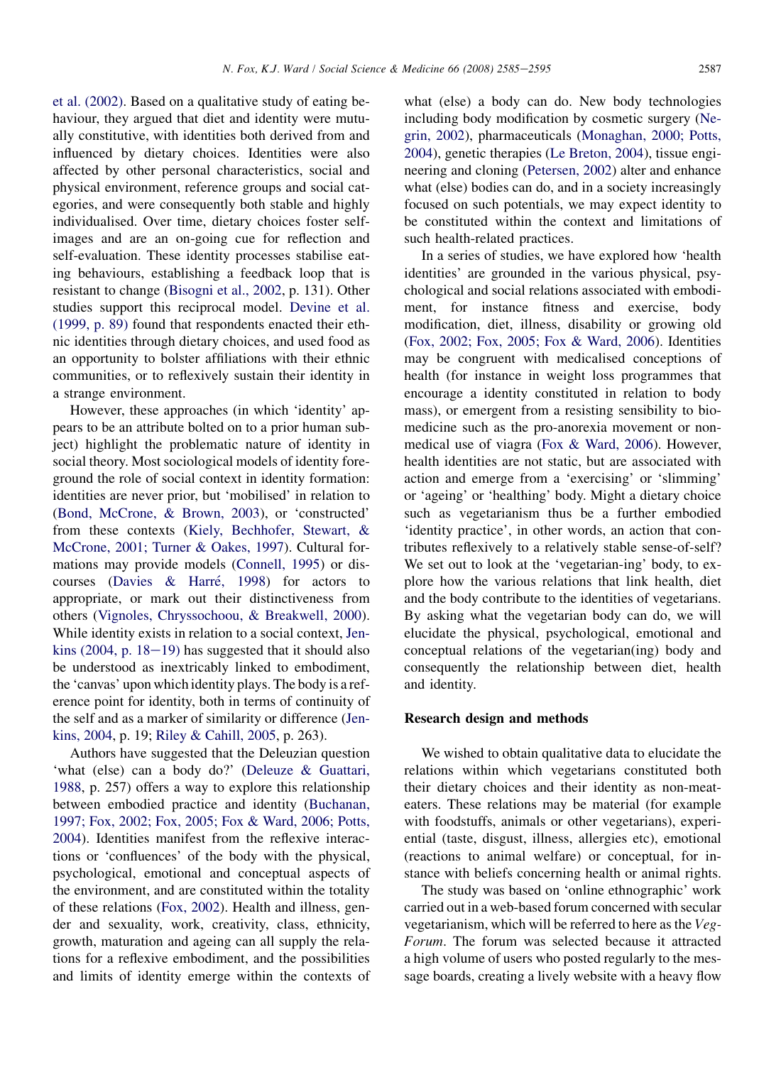[et al. \(2002\).](#page-9-0) Based on a qualitative study of eating behaviour, they argued that diet and identity were mutually constitutive, with identities both derived from and influenced by dietary choices. Identities were also affected by other personal characteristics, social and physical environment, reference groups and social categories, and were consequently both stable and highly individualised. Over time, dietary choices foster selfimages and are an on-going cue for reflection and self-evaluation. These identity processes stabilise eating behaviours, establishing a feedback loop that is resistant to change ([Bisogni et al., 2002](#page-9-0), p. 131). Other studies support this reciprocal model. [Devine et al.](#page-9-0) [\(1999, p. 89\)](#page-9-0) found that respondents enacted their ethnic identities through dietary choices, and used food as an opportunity to bolster affiliations with their ethnic communities, or to reflexively sustain their identity in a strange environment.

However, these approaches (in which 'identity' appears to be an attribute bolted on to a prior human subject) highlight the problematic nature of identity in social theory. Most sociological models of identity foreground the role of social context in identity formation: identities are never prior, but 'mobilised' in relation to [\(Bond, McCrone, & Brown, 2003](#page-9-0)), or 'constructed' from these contexts [\(Kiely, Bechhofer, Stewart, &](#page-9-0) [McCrone, 2001; Turner & Oakes, 1997](#page-9-0)). Cultural formations may provide models ([Connell, 1995](#page-9-0)) or discourses (Davies & Harré, 1998) for actors to appropriate, or mark out their distinctiveness from others [\(Vignoles, Chryssochoou, & Breakwell, 2000](#page-10-0)). While identity exists in relation to a social context, [Jen](#page-9-0)kins (2004, p.  $18-19$ ) has suggested that it should also be understood as inextricably linked to embodiment, the 'canvas' upon which identity plays. The body is a reference point for identity, both in terms of continuity of the self and as a marker of similarity or difference [\(Jen](#page-9-0)[kins, 2004](#page-9-0), p. 19; [Riley & Cahill, 2005,](#page-10-0) p. 263).

Authors have suggested that the Deleuzian question 'what (else) can a body do?' ([Deleuze & Guattari,](#page-9-0) [1988,](#page-9-0) p. 257) offers a way to explore this relationship between embodied practice and identity [\(Buchanan,](#page-9-0) [1997; Fox, 2002; Fox, 2005; Fox & Ward, 2006; Potts,](#page-9-0) [2004\)](#page-9-0). Identities manifest from the reflexive interactions or 'confluences' of the body with the physical, psychological, emotional and conceptual aspects of the environment, and are constituted within the totality of these relations [\(Fox, 2002](#page-9-0)). Health and illness, gender and sexuality, work, creativity, class, ethnicity, growth, maturation and ageing can all supply the relations for a reflexive embodiment, and the possibilities and limits of identity emerge within the contexts of

what (else) a body can do. New body technologies including body modification by cosmetic surgery [\(Ne](#page-9-0)[grin, 2002](#page-9-0)), pharmaceuticals ([Monaghan, 2000; Potts,](#page-9-0) [2004\)](#page-9-0), genetic therapies ([Le Breton, 2004\)](#page-9-0), tissue engineering and cloning ([Petersen, 2002\)](#page-10-0) alter and enhance what (else) bodies can do, and in a society increasingly focused on such potentials, we may expect identity to be constituted within the context and limitations of such health-related practices.

In a series of studies, we have explored how 'health identities' are grounded in the various physical, psychological and social relations associated with embodiment, for instance fitness and exercise, body modification, diet, illness, disability or growing old [\(Fox, 2002; Fox, 2005; Fox & Ward, 2006\)](#page-9-0). Identities may be congruent with medicalised conceptions of health (for instance in weight loss programmes that encourage a identity constituted in relation to body mass), or emergent from a resisting sensibility to biomedicine such as the pro-anorexia movement or nonmedical use of viagra ([Fox & Ward, 2006\)](#page-9-0). However, health identities are not static, but are associated with action and emerge from a 'exercising' or 'slimming' or 'ageing' or 'healthing' body. Might a dietary choice such as vegetarianism thus be a further embodied 'identity practice', in other words, an action that contributes reflexively to a relatively stable sense-of-self? We set out to look at the 'vegetarian-ing' body, to explore how the various relations that link health, diet and the body contribute to the identities of vegetarians. By asking what the vegetarian body can do, we will elucidate the physical, psychological, emotional and conceptual relations of the vegetarian(ing) body and consequently the relationship between diet, health and identity.

#### Research design and methods

We wished to obtain qualitative data to elucidate the relations within which vegetarians constituted both their dietary choices and their identity as non-meateaters. These relations may be material (for example with foodstuffs, animals or other vegetarians), experiential (taste, disgust, illness, allergies etc), emotional (reactions to animal welfare) or conceptual, for instance with beliefs concerning health or animal rights.

The study was based on 'online ethnographic' work carried out in a web-based forum concerned with secular vegetarianism, which will be referred to here as the Veg-Forum. The forum was selected because it attracted a high volume of users who posted regularly to the message boards, creating a lively website with a heavy flow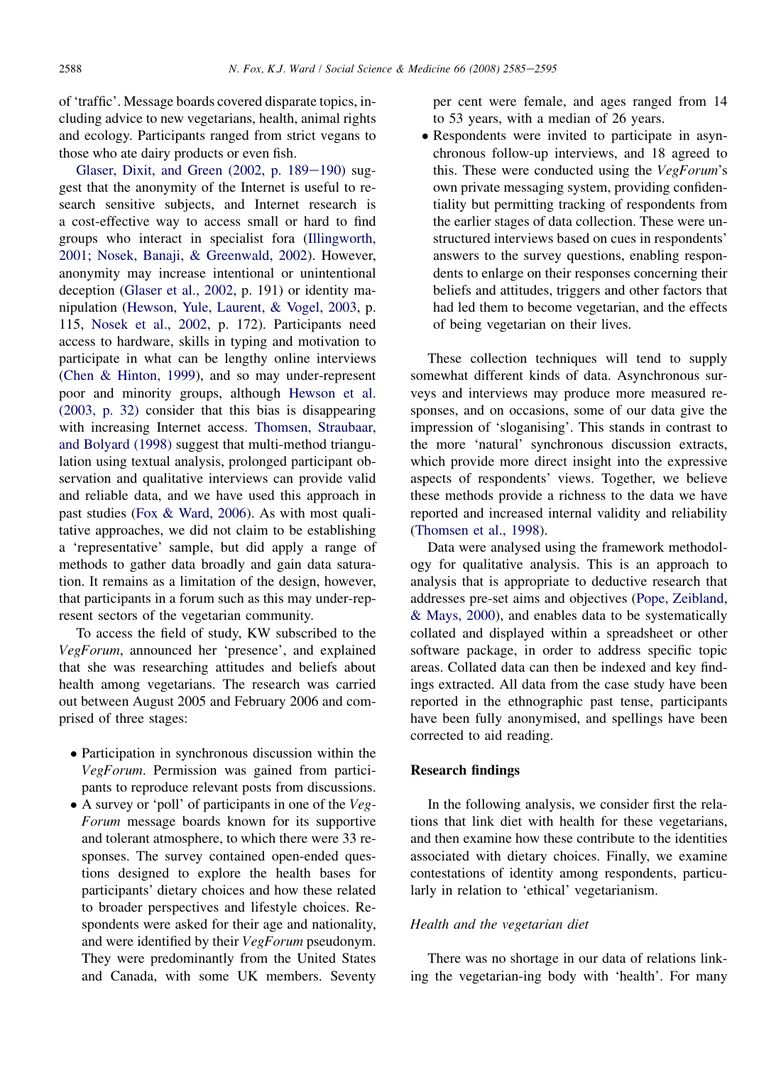of 'traffic'. Message boards covered disparate topics, including advice to new vegetarians, health, animal rights and ecology. Participants ranged from strict vegans to those who ate dairy products or even fish.

Glaser, Dixit, and Green  $(2002, p. 189-190)$  $(2002, p. 189-190)$  suggest that the anonymity of the Internet is useful to research sensitive subjects, and Internet research is a cost-effective way to access small or hard to find groups who interact in specialist fora ([Illingworth,](#page-9-0) [2001; Nosek, Banaji, & Greenwald, 2002](#page-9-0)). However, anonymity may increase intentional or unintentional deception ([Glaser et al., 2002,](#page-9-0) p. 191) or identity manipulation ([Hewson, Yule, Laurent, & Vogel, 2003,](#page-9-0) p. 115, [Nosek et al., 2002,](#page-9-0) p. 172). Participants need access to hardware, skills in typing and motivation to participate in what can be lengthy online interviews ([Chen & Hinton, 1999](#page-9-0)), and so may under-represent poor and minority groups, although [Hewson et al.](#page-9-0) [\(2003, p. 32\)](#page-9-0) consider that this bias is disappearing with increasing Internet access. [Thomsen, Straubaar,](#page-10-0) [and Bolyard \(1998\)](#page-10-0) suggest that multi-method triangulation using textual analysis, prolonged participant observation and qualitative interviews can provide valid and reliable data, and we have used this approach in past studies ([Fox & Ward, 2006\)](#page-9-0). As with most qualitative approaches, we did not claim to be establishing a 'representative' sample, but did apply a range of methods to gather data broadly and gain data saturation. It remains as a limitation of the design, however, that participants in a forum such as this may under-represent sectors of the vegetarian community.

To access the field of study, KW subscribed to the VegForum, announced her 'presence', and explained that she was researching attitudes and beliefs about health among vegetarians. The research was carried out between August 2005 and February 2006 and comprised of three stages:

- Participation in synchronous discussion within the VegForum. Permission was gained from participants to reproduce relevant posts from discussions.
- A survey or 'poll' of participants in one of the Veg-Forum message boards known for its supportive and tolerant atmosphere, to which there were 33 responses. The survey contained open-ended questions designed to explore the health bases for participants' dietary choices and how these related to broader perspectives and lifestyle choices. Respondents were asked for their age and nationality, and were identified by their VegForum pseudonym. They were predominantly from the United States and Canada, with some UK members. Seventy

per cent were female, and ages ranged from 14 to 53 years, with a median of 26 years.

- Respondents were invited to participate in asynchronous follow-up interviews, and 18 agreed to this. These were conducted using the VegForum's own private messaging system, providing confidentiality but permitting tracking of respondents from the earlier stages of data collection. These were unstructured interviews based on cues in respondents' answers to the survey questions, enabling respondents to enlarge on their responses concerning their beliefs and attitudes, triggers and other factors that had led them to become vegetarian, and the effects of being vegetarian on their lives.

These collection techniques will tend to supply somewhat different kinds of data. Asynchronous surveys and interviews may produce more measured responses, and on occasions, some of our data give the impression of 'sloganising'. This stands in contrast to the more 'natural' synchronous discussion extracts, which provide more direct insight into the expressive aspects of respondents' views. Together, we believe these methods provide a richness to the data we have reported and increased internal validity and reliability ([Thomsen et al., 1998](#page-10-0)).

Data were analysed using the framework methodology for qualitative analysis. This is an approach to analysis that is appropriate to deductive research that addresses pre-set aims and objectives ([Pope, Zeibland,](#page-10-0) [& Mays, 2000](#page-10-0)), and enables data to be systematically collated and displayed within a spreadsheet or other software package, in order to address specific topic areas. Collated data can then be indexed and key findings extracted. All data from the case study have been reported in the ethnographic past tense, participants have been fully anonymised, and spellings have been corrected to aid reading.

# Research findings

In the following analysis, we consider first the relations that link diet with health for these vegetarians, and then examine how these contribute to the identities associated with dietary choices. Finally, we examine contestations of identity among respondents, particularly in relation to 'ethical' vegetarianism.

# Health and the vegetarian diet

There was no shortage in our data of relations linking the vegetarian-ing body with 'health'. For many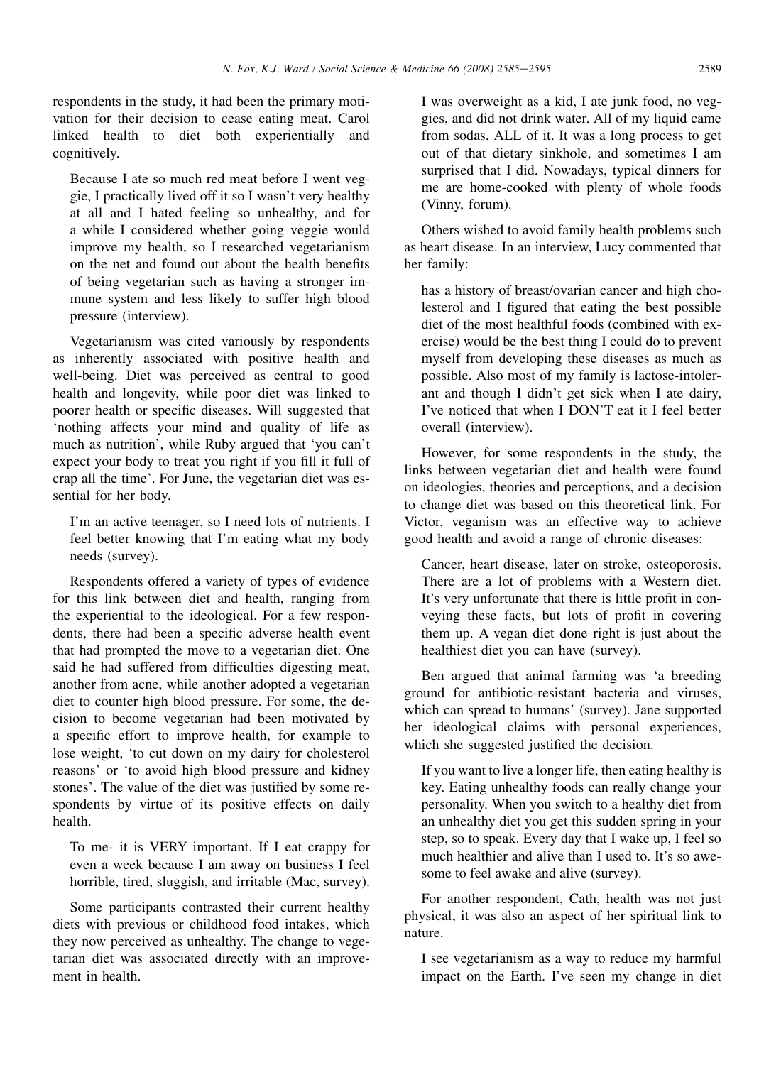respondents in the study, it had been the primary motivation for their decision to cease eating meat. Carol linked health to diet both experientially and cognitively.

Because I ate so much red meat before I went veggie, I practically lived off it so I wasn't very healthy at all and I hated feeling so unhealthy, and for a while I considered whether going veggie would improve my health, so I researched vegetarianism on the net and found out about the health benefits of being vegetarian such as having a stronger immune system and less likely to suffer high blood pressure (interview).

Vegetarianism was cited variously by respondents as inherently associated with positive health and well-being. Diet was perceived as central to good health and longevity, while poor diet was linked to poorer health or specific diseases. Will suggested that 'nothing affects your mind and quality of life as much as nutrition', while Ruby argued that 'you can't expect your body to treat you right if you fill it full of crap all the time'. For June, the vegetarian diet was essential for her body.

I'm an active teenager, so I need lots of nutrients. I feel better knowing that I'm eating what my body needs (survey).

Respondents offered a variety of types of evidence for this link between diet and health, ranging from the experiential to the ideological. For a few respondents, there had been a specific adverse health event that had prompted the move to a vegetarian diet. One said he had suffered from difficulties digesting meat, another from acne, while another adopted a vegetarian diet to counter high blood pressure. For some, the decision to become vegetarian had been motivated by a specific effort to improve health, for example to lose weight, 'to cut down on my dairy for cholesterol reasons' or 'to avoid high blood pressure and kidney stones'. The value of the diet was justified by some respondents by virtue of its positive effects on daily health.

To me- it is VERY important. If I eat crappy for even a week because I am away on business I feel horrible, tired, sluggish, and irritable (Mac, survey).

Some participants contrasted their current healthy diets with previous or childhood food intakes, which they now perceived as unhealthy. The change to vegetarian diet was associated directly with an improvement in health.

I was overweight as a kid, I ate junk food, no veggies, and did not drink water. All of my liquid came from sodas. ALL of it. It was a long process to get out of that dietary sinkhole, and sometimes I am surprised that I did. Nowadays, typical dinners for me are home-cooked with plenty of whole foods (Vinny, forum).

Others wished to avoid family health problems such as heart disease. In an interview, Lucy commented that her family:

has a history of breast/ovarian cancer and high cholesterol and I figured that eating the best possible diet of the most healthful foods (combined with exercise) would be the best thing I could do to prevent myself from developing these diseases as much as possible. Also most of my family is lactose-intolerant and though I didn't get sick when I ate dairy, I've noticed that when I DON'T eat it I feel better overall (interview).

However, for some respondents in the study, the links between vegetarian diet and health were found on ideologies, theories and perceptions, and a decision to change diet was based on this theoretical link. For Victor, veganism was an effective way to achieve good health and avoid a range of chronic diseases:

Cancer, heart disease, later on stroke, osteoporosis. There are a lot of problems with a Western diet. It's very unfortunate that there is little profit in conveying these facts, but lots of profit in covering them up. A vegan diet done right is just about the healthiest diet you can have (survey).

Ben argued that animal farming was 'a breeding ground for antibiotic-resistant bacteria and viruses, which can spread to humans' (survey). Jane supported her ideological claims with personal experiences, which she suggested justified the decision.

If you want to live a longer life, then eating healthy is key. Eating unhealthy foods can really change your personality. When you switch to a healthy diet from an unhealthy diet you get this sudden spring in your step, so to speak. Every day that I wake up, I feel so much healthier and alive than I used to. It's so awesome to feel awake and alive (survey).

For another respondent, Cath, health was not just physical, it was also an aspect of her spiritual link to nature.

I see vegetarianism as a way to reduce my harmful impact on the Earth. I've seen my change in diet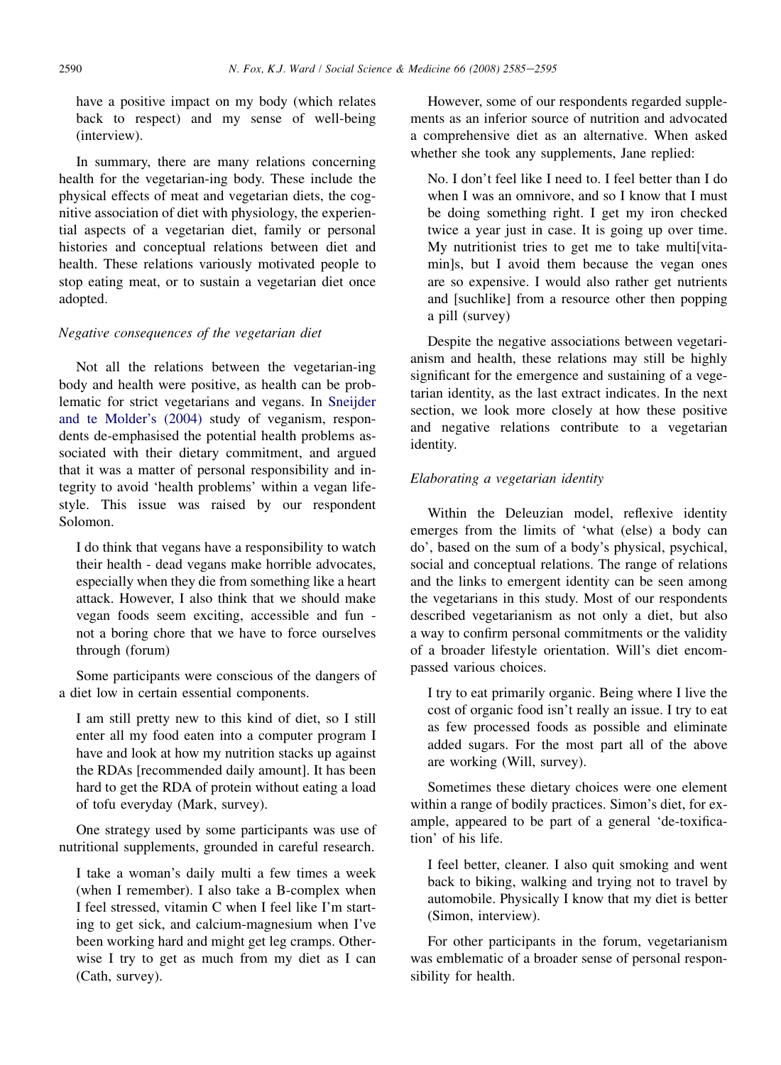have a positive impact on my body (which relates back to respect) and my sense of well-being (interview).

In summary, there are many relations concerning health for the vegetarian-ing body. These include the physical effects of meat and vegetarian diets, the cognitive association of diet with physiology, the experiential aspects of a vegetarian diet, family or personal histories and conceptual relations between diet and health. These relations variously motivated people to stop eating meat, or to sustain a vegetarian diet once adopted.

# Negative consequences of the vegetarian diet

Not all the relations between the vegetarian-ing body and health were positive, as health can be problematic for strict vegetarians and vegans. In [Sneijder](#page-10-0) [and te Molder's \(2004\)](#page-10-0) study of veganism, respondents de-emphasised the potential health problems associated with their dietary commitment, and argued that it was a matter of personal responsibility and integrity to avoid 'health problems' within a vegan lifestyle. This issue was raised by our respondent Solomon.

I do think that vegans have a responsibility to watch their health - dead vegans make horrible advocates, especially when they die from something like a heart attack. However, I also think that we should make vegan foods seem exciting, accessible and fun not a boring chore that we have to force ourselves through (forum)

Some participants were conscious of the dangers of a diet low in certain essential components.

I am still pretty new to this kind of diet, so I still enter all my food eaten into a computer program I have and look at how my nutrition stacks up against the RDAs [recommended daily amount]. It has been hard to get the RDA of protein without eating a load of tofu everyday (Mark, survey).

One strategy used by some participants was use of nutritional supplements, grounded in careful research.

I take a woman's daily multi a few times a week (when I remember). I also take a B-complex when I feel stressed, vitamin C when I feel like I'm starting to get sick, and calcium-magnesium when I've been working hard and might get leg cramps. Otherwise I try to get as much from my diet as I can (Cath, survey).

However, some of our respondents regarded supplements as an inferior source of nutrition and advocated a comprehensive diet as an alternative. When asked whether she took any supplements, Jane replied:

No. I don't feel like I need to. I feel better than I do when I was an omnivore, and so I know that I must be doing something right. I get my iron checked twice a year just in case. It is going up over time. My nutritionist tries to get me to take multi[vitamin]s, but I avoid them because the vegan ones are so expensive. I would also rather get nutrients and [suchlike] from a resource other then popping a pill (survey)

Despite the negative associations between vegetarianism and health, these relations may still be highly significant for the emergence and sustaining of a vegetarian identity, as the last extract indicates. In the next section, we look more closely at how these positive and negative relations contribute to a vegetarian identity.

## Elaborating a vegetarian identity

Within the Deleuzian model, reflexive identity emerges from the limits of 'what (else) a body can do', based on the sum of a body's physical, psychical, social and conceptual relations. The range of relations and the links to emergent identity can be seen among the vegetarians in this study. Most of our respondents described vegetarianism as not only a diet, but also a way to confirm personal commitments or the validity of a broader lifestyle orientation. Will's diet encompassed various choices.

I try to eat primarily organic. Being where I live the cost of organic food isn't really an issue. I try to eat as few processed foods as possible and eliminate added sugars. For the most part all of the above are working (Will, survey).

Sometimes these dietary choices were one element within a range of bodily practices. Simon's diet, for example, appeared to be part of a general 'de-toxification' of his life.

I feel better, cleaner. I also quit smoking and went back to biking, walking and trying not to travel by automobile. Physically I know that my diet is better (Simon, interview).

For other participants in the forum, vegetarianism was emblematic of a broader sense of personal responsibility for health.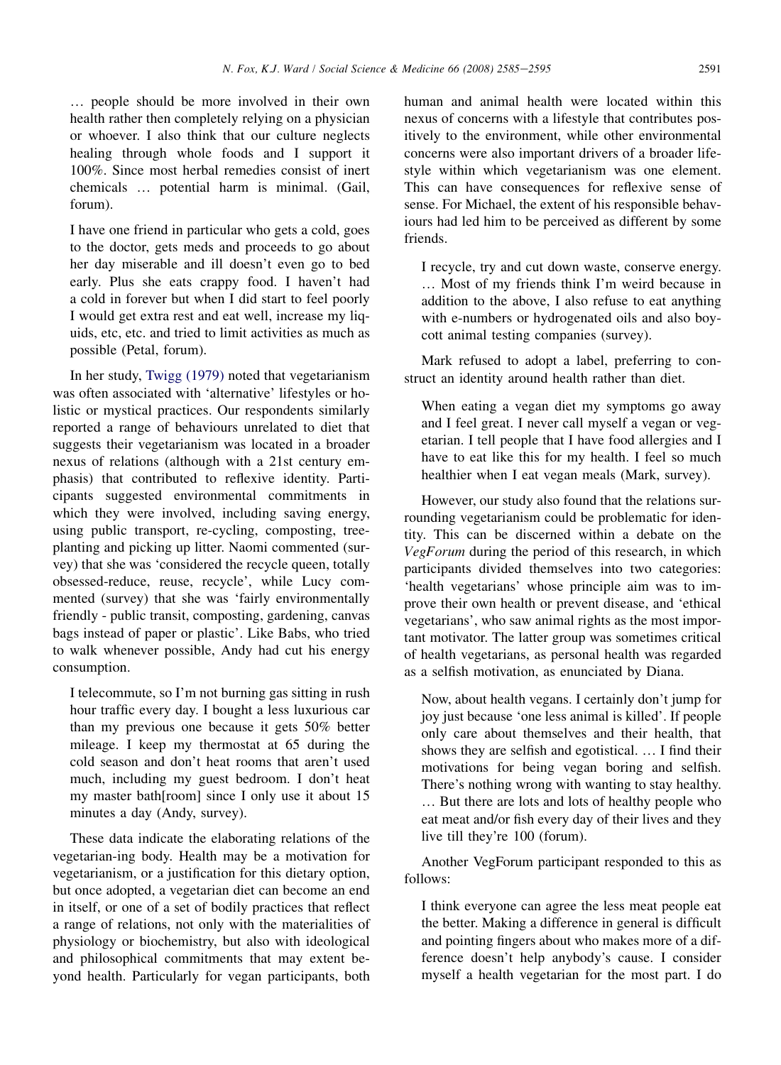... people should be more involved in their own health rather then completely relying on a physician or whoever. I also think that our culture neglects healing through whole foods and I support it 100%. Since most herbal remedies consist of inert chemicals ... potential harm is minimal. (Gail, forum).

I have one friend in particular who gets a cold, goes to the doctor, gets meds and proceeds to go about her day miserable and ill doesn't even go to bed early. Plus she eats crappy food. I haven't had a cold in forever but when I did start to feel poorly I would get extra rest and eat well, increase my liquids, etc, etc. and tried to limit activities as much as possible (Petal, forum).

In her study, [Twigg \(1979\)](#page-10-0) noted that vegetarianism was often associated with 'alternative' lifestyles or holistic or mystical practices. Our respondents similarly reported a range of behaviours unrelated to diet that suggests their vegetarianism was located in a broader nexus of relations (although with a 21st century emphasis) that contributed to reflexive identity. Participants suggested environmental commitments in which they were involved, including saving energy, using public transport, re-cycling, composting, treeplanting and picking up litter. Naomi commented (survey) that she was 'considered the recycle queen, totally obsessed-reduce, reuse, recycle', while Lucy commented (survey) that she was 'fairly environmentally friendly - public transit, composting, gardening, canvas bags instead of paper or plastic'. Like Babs, who tried to walk whenever possible, Andy had cut his energy consumption.

I telecommute, so I'm not burning gas sitting in rush hour traffic every day. I bought a less luxurious car than my previous one because it gets 50% better mileage. I keep my thermostat at 65 during the cold season and don't heat rooms that aren't used much, including my guest bedroom. I don't heat my master bath[room] since I only use it about 15 minutes a day (Andy, survey).

These data indicate the elaborating relations of the vegetarian-ing body. Health may be a motivation for vegetarianism, or a justification for this dietary option, but once adopted, a vegetarian diet can become an end in itself, or one of a set of bodily practices that reflect a range of relations, not only with the materialities of physiology or biochemistry, but also with ideological and philosophical commitments that may extent beyond health. Particularly for vegan participants, both human and animal health were located within this nexus of concerns with a lifestyle that contributes positively to the environment, while other environmental concerns were also important drivers of a broader lifestyle within which vegetarianism was one element. This can have consequences for reflexive sense of sense. For Michael, the extent of his responsible behaviours had led him to be perceived as different by some friends.

I recycle, try and cut down waste, conserve energy. ... Most of my friends think I'm weird because in addition to the above, I also refuse to eat anything with e-numbers or hydrogenated oils and also boycott animal testing companies (survey).

Mark refused to adopt a label, preferring to construct an identity around health rather than diet.

When eating a vegan diet my symptoms go away and I feel great. I never call myself a vegan or vegetarian. I tell people that I have food allergies and I have to eat like this for my health. I feel so much healthier when I eat vegan meals (Mark, survey).

However, our study also found that the relations surrounding vegetarianism could be problematic for identity. This can be discerned within a debate on the VegForum during the period of this research, in which participants divided themselves into two categories: 'health vegetarians' whose principle aim was to improve their own health or prevent disease, and 'ethical vegetarians', who saw animal rights as the most important motivator. The latter group was sometimes critical of health vegetarians, as personal health was regarded as a selfish motivation, as enunciated by Diana.

Now, about health vegans. I certainly don't jump for joy just because 'one less animal is killed'. If people only care about themselves and their health, that shows they are selfish and egotistical. . I find their motivations for being vegan boring and selfish. There's nothing wrong with wanting to stay healthy. ... But there are lots and lots of healthy people who eat meat and/or fish every day of their lives and they live till they're 100 (forum).

Another VegForum participant responded to this as follows:

I think everyone can agree the less meat people eat the better. Making a difference in general is difficult and pointing fingers about who makes more of a difference doesn't help anybody's cause. I consider myself a health vegetarian for the most part. I do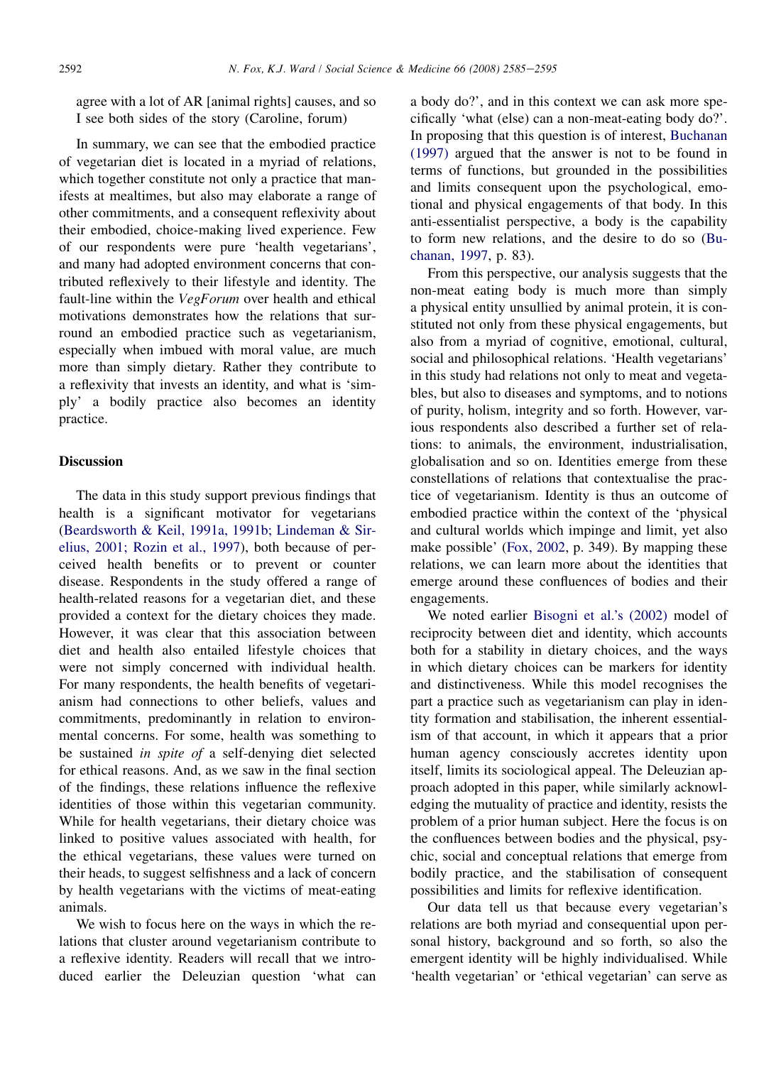agree with a lot of AR [animal rights] causes, and so I see both sides of the story (Caroline, forum)

In summary, we can see that the embodied practice of vegetarian diet is located in a myriad of relations, which together constitute not only a practice that manifests at mealtimes, but also may elaborate a range of other commitments, and a consequent reflexivity about their embodied, choice-making lived experience. Few of our respondents were pure 'health vegetarians', and many had adopted environment concerns that contributed reflexively to their lifestyle and identity. The fault-line within the VegForum over health and ethical motivations demonstrates how the relations that surround an embodied practice such as vegetarianism, especially when imbued with moral value, are much more than simply dietary. Rather they contribute to a reflexivity that invests an identity, and what is 'simply' a bodily practice also becomes an identity practice.

#### **Discussion**

The data in this study support previous findings that health is a significant motivator for vegetarians ([Beardsworth & Keil, 1991a, 1991b; Lindeman & Sir](#page-9-0)[elius, 2001; Rozin et al., 1997\)](#page-9-0), both because of perceived health benefits or to prevent or counter disease. Respondents in the study offered a range of health-related reasons for a vegetarian diet, and these provided a context for the dietary choices they made. However, it was clear that this association between diet and health also entailed lifestyle choices that were not simply concerned with individual health. For many respondents, the health benefits of vegetarianism had connections to other beliefs, values and commitments, predominantly in relation to environmental concerns. For some, health was something to be sustained in spite of a self-denying diet selected for ethical reasons. And, as we saw in the final section of the findings, these relations influence the reflexive identities of those within this vegetarian community. While for health vegetarians, their dietary choice was linked to positive values associated with health, for the ethical vegetarians, these values were turned on their heads, to suggest selfishness and a lack of concern by health vegetarians with the victims of meat-eating animals.

We wish to focus here on the ways in which the relations that cluster around vegetarianism contribute to a reflexive identity. Readers will recall that we introduced earlier the Deleuzian question 'what can

a body do?', and in this context we can ask more specifically 'what (else) can a non-meat-eating body do?'. In proposing that this question is of interest, [Buchanan](#page-9-0) [\(1997\)](#page-9-0) argued that the answer is not to be found in terms of functions, but grounded in the possibilities and limits consequent upon the psychological, emotional and physical engagements of that body. In this anti-essentialist perspective, a body is the capability to form new relations, and the desire to do so [\(Bu](#page-9-0)[chanan, 1997](#page-9-0), p. 83).

From this perspective, our analysis suggests that the non-meat eating body is much more than simply a physical entity unsullied by animal protein, it is constituted not only from these physical engagements, but also from a myriad of cognitive, emotional, cultural, social and philosophical relations. 'Health vegetarians' in this study had relations not only to meat and vegetables, but also to diseases and symptoms, and to notions of purity, holism, integrity and so forth. However, various respondents also described a further set of relations: to animals, the environment, industrialisation, globalisation and so on. Identities emerge from these constellations of relations that contextualise the practice of vegetarianism. Identity is thus an outcome of embodied practice within the context of the 'physical and cultural worlds which impinge and limit, yet also make possible' [\(Fox, 2002](#page-9-0), p. 349). By mapping these relations, we can learn more about the identities that emerge around these confluences of bodies and their engagements.

We noted earlier [Bisogni et al.'s \(2002\)](#page-9-0) model of reciprocity between diet and identity, which accounts both for a stability in dietary choices, and the ways in which dietary choices can be markers for identity and distinctiveness. While this model recognises the part a practice such as vegetarianism can play in identity formation and stabilisation, the inherent essentialism of that account, in which it appears that a prior human agency consciously accretes identity upon itself, limits its sociological appeal. The Deleuzian approach adopted in this paper, while similarly acknowledging the mutuality of practice and identity, resists the problem of a prior human subject. Here the focus is on the confluences between bodies and the physical, psychic, social and conceptual relations that emerge from bodily practice, and the stabilisation of consequent possibilities and limits for reflexive identification.

Our data tell us that because every vegetarian's relations are both myriad and consequential upon personal history, background and so forth, so also the emergent identity will be highly individualised. While 'health vegetarian' or 'ethical vegetarian' can serve as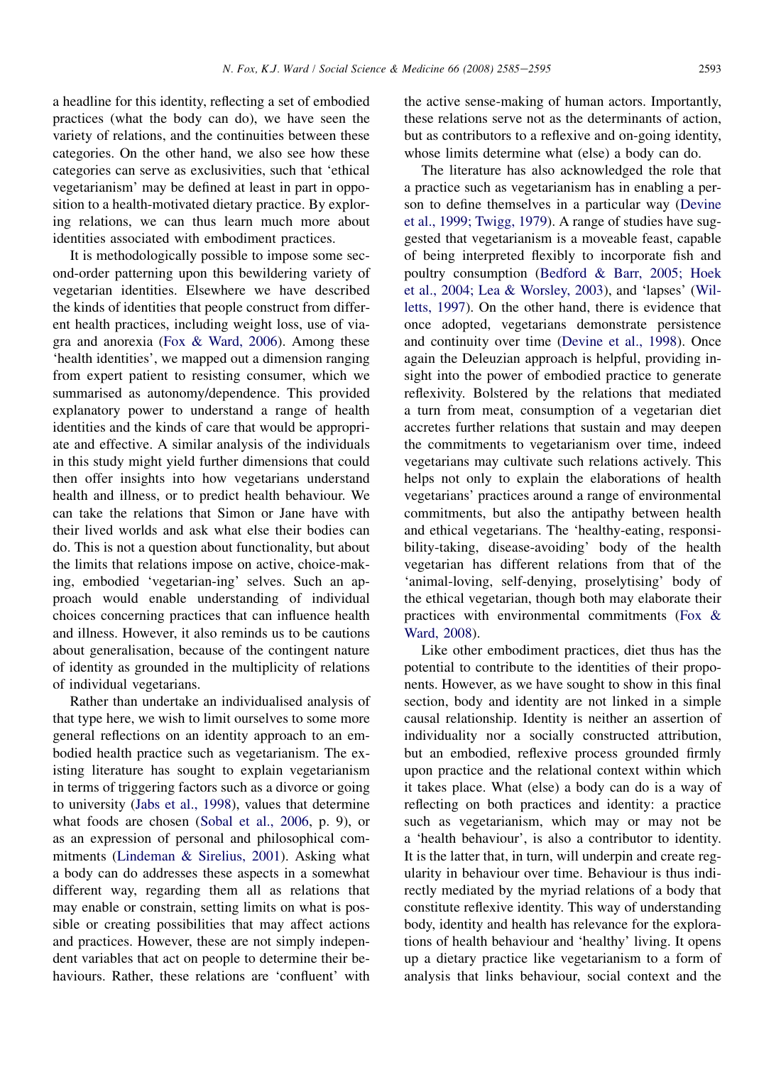a headline for this identity, reflecting a set of embodied practices (what the body can do), we have seen the variety of relations, and the continuities between these categories. On the other hand, we also see how these categories can serve as exclusivities, such that 'ethical vegetarianism' may be defined at least in part in opposition to a health-motivated dietary practice. By exploring relations, we can thus learn much more about identities associated with embodiment practices.

It is methodologically possible to impose some second-order patterning upon this bewildering variety of vegetarian identities. Elsewhere we have described the kinds of identities that people construct from different health practices, including weight loss, use of viagra and anorexia [\(Fox & Ward, 2006](#page-9-0)). Among these 'health identities', we mapped out a dimension ranging from expert patient to resisting consumer, which we summarised as autonomy/dependence. This provided explanatory power to understand a range of health identities and the kinds of care that would be appropriate and effective. A similar analysis of the individuals in this study might yield further dimensions that could then offer insights into how vegetarians understand health and illness, or to predict health behaviour. We can take the relations that Simon or Jane have with their lived worlds and ask what else their bodies can do. This is not a question about functionality, but about the limits that relations impose on active, choice-making, embodied 'vegetarian-ing' selves. Such an approach would enable understanding of individual choices concerning practices that can influence health and illness. However, it also reminds us to be cautions about generalisation, because of the contingent nature of identity as grounded in the multiplicity of relations of individual vegetarians.

Rather than undertake an individualised analysis of that type here, we wish to limit ourselves to some more general reflections on an identity approach to an embodied health practice such as vegetarianism. The existing literature has sought to explain vegetarianism in terms of triggering factors such as a divorce or going to university ([Jabs et al., 1998](#page-9-0)), values that determine what foods are chosen ([Sobal et al., 2006](#page-10-0), p. 9), or as an expression of personal and philosophical commitments ([Lindeman & Sirelius, 2001\)](#page-9-0). Asking what a body can do addresses these aspects in a somewhat different way, regarding them all as relations that may enable or constrain, setting limits on what is possible or creating possibilities that may affect actions and practices. However, these are not simply independent variables that act on people to determine their behaviours. Rather, these relations are 'confluent' with

the active sense-making of human actors. Importantly, these relations serve not as the determinants of action, but as contributors to a reflexive and on-going identity, whose limits determine what (else) a body can do.

The literature has also acknowledged the role that a practice such as vegetarianism has in enabling a person to define themselves in a particular way [\(Devine](#page-9-0) [et al., 1999; Twigg, 1979\)](#page-9-0). A range of studies have suggested that vegetarianism is a moveable feast, capable of being interpreted flexibly to incorporate fish and poultry consumption ([Bedford & Barr, 2005; Hoek](#page-9-0) [et al., 2004; Lea & Worsley, 2003\)](#page-9-0), and 'lapses' ([Wil](#page-10-0)[letts, 1997\)](#page-10-0). On the other hand, there is evidence that once adopted, vegetarians demonstrate persistence and continuity over time ([Devine et al., 1998](#page-9-0)). Once again the Deleuzian approach is helpful, providing insight into the power of embodied practice to generate reflexivity. Bolstered by the relations that mediated a turn from meat, consumption of a vegetarian diet accretes further relations that sustain and may deepen the commitments to vegetarianism over time, indeed vegetarians may cultivate such relations actively. This helps not only to explain the elaborations of health vegetarians' practices around a range of environmental commitments, but also the antipathy between health and ethical vegetarians. The 'healthy-eating, responsibility-taking, disease-avoiding' body of the health vegetarian has different relations from that of the 'animal-loving, self-denying, proselytising' body of the ethical vegetarian, though both may elaborate their practices with environmental commitments [\(Fox &](#page-9-0) [Ward, 2008](#page-9-0)).

Like other embodiment practices, diet thus has the potential to contribute to the identities of their proponents. However, as we have sought to show in this final section, body and identity are not linked in a simple causal relationship. Identity is neither an assertion of individuality nor a socially constructed attribution, but an embodied, reflexive process grounded firmly upon practice and the relational context within which it takes place. What (else) a body can do is a way of reflecting on both practices and identity: a practice such as vegetarianism, which may or may not be a 'health behaviour', is also a contributor to identity. It is the latter that, in turn, will underpin and create regularity in behaviour over time. Behaviour is thus indirectly mediated by the myriad relations of a body that constitute reflexive identity. This way of understanding body, identity and health has relevance for the explorations of health behaviour and 'healthy' living. It opens up a dietary practice like vegetarianism to a form of analysis that links behaviour, social context and the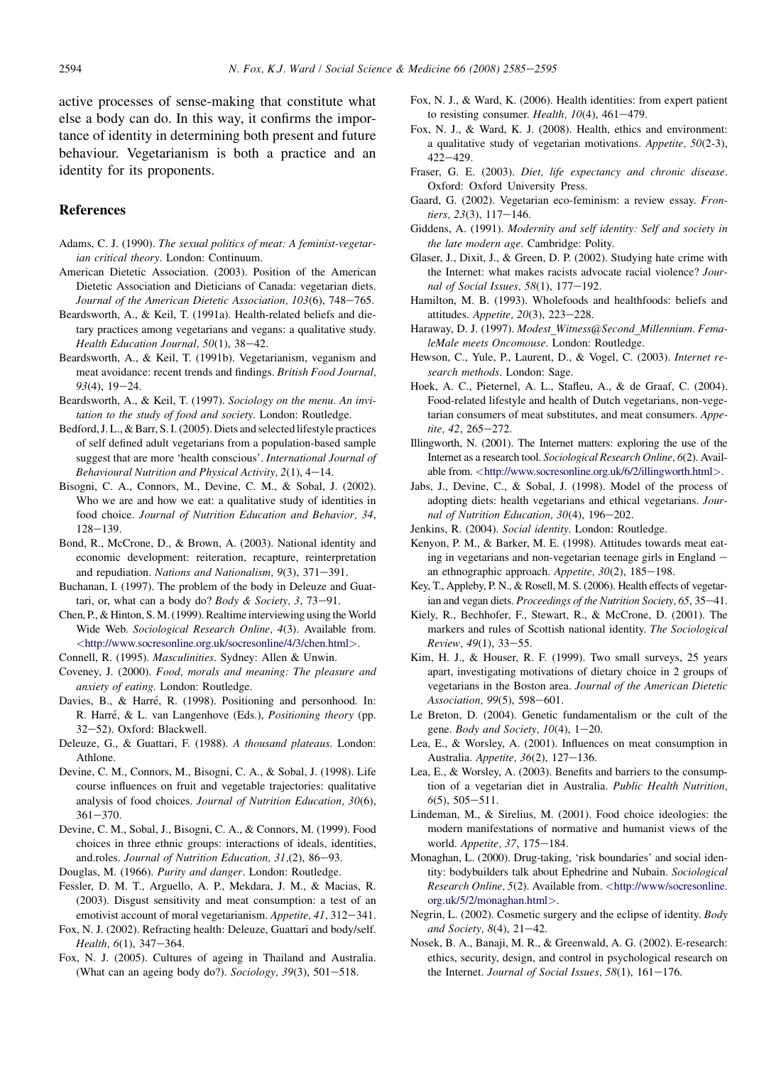<span id="page-9-0"></span>active processes of sense-making that constitute what else a body can do. In this way, it confirms the importance of identity in determining both present and future behaviour. Vegetarianism is both a practice and an identity for its proponents.

## References

- Adams, C. J. (1990). The sexual politics of meat: A feminist-vegetarian critical theory. London: Continuum.
- American Dietetic Association. (2003). Position of the American Dietetic Association and Dieticians of Canada: vegetarian diets. Journal of the American Dietetic Association, 103(6), 748-765.
- Beardsworth, A., & Keil, T. (1991a). Health-related beliefs and dietary practices among vegetarians and vegans: a qualitative study. Health Education Journal,  $50(1)$ ,  $38-42$ .
- Beardsworth, A., & Keil, T. (1991b). Vegetarianism, veganism and meat avoidance: recent trends and findings. British Food Journal,  $93(4)$ ,  $19-24$ .
- Beardsworth, A., & Keil, T. (1997). Sociology on the menu. An invitation to the study of food and society. London: Routledge.
- Bedford, J. L., & Barr, S. I. (2005). Diets and selected lifestyle practices of self defined adult vegetarians from a population-based sample suggest that are more 'health conscious'. International Journal of Behavioural Nutrition and Physical Activity,  $2(1)$ ,  $4-14$ .
- Bisogni, C. A., Connors, M., Devine, C. M., & Sobal, J. (2002). Who we are and how we eat: a qualitative study of identities in food choice. Journal of Nutrition Education and Behavior, 34,  $128 - 139.$
- Bond, R., McCrone, D., & Brown, A. (2003). National identity and economic development: reiteration, recapture, reinterpretation and repudiation. Nations and Nationalism,  $9(3)$ ,  $371-391$ .
- Buchanan, I. (1997). The problem of the body in Deleuze and Guattari, or, what can a body do? Body & Society,  $3, 73-91$ .
- Chen, P., & Hinton, S. M. (1999). Realtime interviewing using the World Wide Web. Sociological Research Online, 4(3). Available from. <<http://www.socresonline.org.uk/socresonline/4/3/chen.html>>.
- Connell, R. (1995). Masculinities. Sydney: Allen & Unwin.
- Coveney, J. (2000). Food, morals and meaning: The pleasure and anxiety of eating. London: Routledge.
- Davies, B., & Harré, R. (1998). Positioning and personhood. In: R. Harré, & L. van Langenhove (Eds.), Positioning theory (pp. 32-52). Oxford: Blackwell.
- Deleuze, G., & Guattari, F. (1988). A thousand plateaus. London: Athlone.
- Devine, C. M., Connors, M., Bisogni, C. A., & Sobal, J. (1998). Life course influences on fruit and vegetable trajectories: qualitative analysis of food choices. Journal of Nutrition Education, 30(6),  $361 - 370$ .
- Devine, C. M., Sobal, J., Bisogni, C. A., & Connors, M. (1999). Food choices in three ethnic groups: interactions of ideals, identities, and.roles. Journal of Nutrition Education, 31,(2), 86-93.
- Douglas, M. (1966). Purity and danger. London: Routledge.
- Fessler, D. M. T., Arguello, A. P., Mekdara, J. M., & Macias, R. (2003). Disgust sensitivity and meat consumption: a test of an emotivist account of moral vegetarianism. Appetite, 41, 312-341.
- Fox, N. J. (2002). Refracting health: Deleuze, Guattari and body/self. Health,  $6(1)$ ,  $347-364$ .
- Fox, N. J. (2005). Cultures of ageing in Thailand and Australia. (What can an ageing body do?). Sociology,  $39(3)$ ,  $501-518$ .
- Fox, N. J., & Ward, K. (2006). Health identities: from expert patient to resisting consumer. Health,  $10(4)$ ,  $461-479$ .
- Fox, N. J., & Ward, K. J. (2008). Health, ethics and environment: a qualitative study of vegetarian motivations. Appetite, 50(2-3), 422-429.
- Fraser, G. E. (2003). Diet, life expectancy and chronic disease. Oxford: Oxford University Press.
- Gaard, G. (2002). Vegetarian eco-feminism: a review essay. Frontiers,  $23(3)$ ,  $117-146$ .
- Giddens, A. (1991). Modernity and self identity: Self and society in the late modern age. Cambridge: Polity.
- Glaser, J., Dixit, J., & Green, D. P. (2002). Studying hate crime with the Internet: what makes racists advocate racial violence? Journal of Social Issues,  $58(1)$ ,  $177-192$ .
- Hamilton, M. B. (1993). Wholefoods and healthfoods: beliefs and attitudes. Appetite,  $20(3)$ ,  $223-228$ .
- Haraway, D. J. (1997). Modest Witness@Second Millennium. FemaleMale meets Oncomouse. London: Routledge.
- Hewson, C., Yule, P., Laurent, D., & Vogel, C. (2003). Internet research methods. London: Sage.
- Hoek, A. C., Pieternel, A. L., Stafleu, A., & de Graaf, C. (2004). Food-related lifestyle and health of Dutch vegetarians, non-vegetarian consumers of meat substitutes, and meat consumers. Appetite, 42, 265-272.
- Illingworth, N. (2001). The Internet matters: exploring the use of the Internet as a research tool. Sociological Research Online, 6(2). Available from. <<http://www.socresonline.org.uk/6/2/illingworth.html>>.
- Jabs, J., Devine, C., & Sobal, J. (1998). Model of the process of adopting diets: health vegetarians and ethical vegetarians. Journal of Nutrition Education,  $30(4)$ ,  $196-202$ .
- Jenkins, R. (2004). Social identity. London: Routledge.
- Kenyon, P. M., & Barker, M. E. (1998). Attitudes towards meat eating in vegetarians and non-vegetarian teenage girls in England  $$ an ethnographic approach. Appetite,  $30(2)$ ,  $185-198$ .
- Key, T., Appleby, P. N., & Rosell, M. S. (2006). Health effects of vegetarian and vegan diets. Proceedings of the Nutrition Society, 65, 35-41.
- Kiely, R., Bechhofer, F., Stewart, R., & McCrone, D. (2001). The markers and rules of Scottish national identity. The Sociological Review, 49(1), 33-55.
- Kim, H. J., & Houser, R. F. (1999). Two small surveys, 25 years apart, investigating motivations of dietary choice in 2 groups of vegetarians in the Boston area. Journal of the American Dietetic Association, 99(5), 598-601.
- Le Breton, D. (2004). Genetic fundamentalism or the cult of the gene. Body and Society,  $10(4)$ ,  $1-20$ .
- Lea, E., & Worsley, A. (2001). Influences on meat consumption in Australia. Appetite, 36(2), 127-136.
- Lea, E., & Worsley, A. (2003). Benefits and barriers to the consumption of a vegetarian diet in Australia. Public Health Nutrition,  $6(5)$ , 505-511.
- Lindeman, M., & Sirelius, M. (2001). Food choice ideologies: the modern manifestations of normative and humanist views of the world. Appetite, 37, 175-184.
- Monaghan, L. (2000). Drug-taking, 'risk boundaries' and social identity: bodybuilders talk about Ephedrine and Nubain. Sociological Research Online, 5(2). Available from. <[http://www/socresonline.](http://www/socresonline.org.uk/5/2/monaghan.html) [org.uk/5/2/monaghan.html](http://www/socresonline.org.uk/5/2/monaghan.html)>.
- Negrin, L. (2002). Cosmetic surgery and the eclipse of identity. Body and Society,  $8(4)$ ,  $21-42$ .
- Nosek, B. A., Banaji, M. R., & Greenwald, A. G. (2002). E-research: ethics, security, design, and control in psychological research on the Internet. Journal of Social Issues,  $58(1)$ ,  $161-176$ .